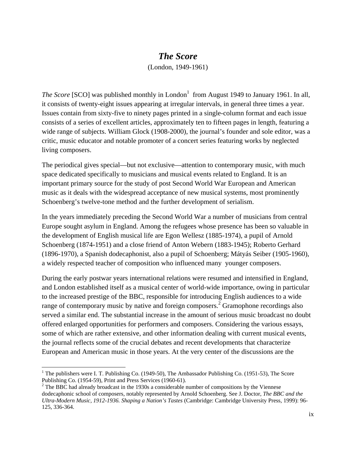## *The Score*

(London, 1949-1961)

*The Score* [SCO] was published monthly in London<sup>1</sup> from August 1949 to January 1961. In all, it consists of twenty-eight issues appearing at irregular intervals, in general three times a year. Issues contain from sixty-five to ninety pages printed in a single-column format and each issue consists of a series of excellent articles, approximately ten to fifteen pages in length, featuring a wide range of subjects. William Glock (1908-2000), the journal's founder and sole editor, was a critic, music educator and notable promoter of a concert series featuring works by neglected living composers.

The periodical gives special—but not exclusive—attention to contemporary music, with much space dedicated specifically to musicians and musical events related to England. It is an important primary source for the study of post Second World War European and American music as it deals with the widespread acceptance of new musical systems, most prominently Schoenberg's twelve-tone method and the further development of serialism.

In the years immediately preceding the Second World War a number of musicians from central Europe sought asylum in England. Among the refugees whose presence has been so valuable in the development of English musical life are Egon Wellesz (1885-1974), a pupil of Arnold Schoenberg (1874-1951) and a close friend of Anton Webern (1883-1945); Roberto Gerhard (1896-1970), a Spanish dodecaphonist, also a pupil of Schoenberg; Mátyás Seiber (1905-1960), a widely respected teacher of composition who influenced many younger composers.

During the early postwar years international relations were resumed and intensified in England, and London established itself as a musical center of world-wide importance, owing in particular to the increased prestige of the BBC, responsible for introducing English audiences to a wide range of contemporary music by native and foreign composers.<sup>2</sup> Gramophone recordings also served a similar end. The substantial increase in the amount of serious music broadcast no doubt offered enlarged opportunities for performers and composers. Considering the various essays, some of which are rather extensive, and other information dealing with current musical events, the journal reflects some of the crucial debates and recent developments that characterize European and American music in those years. At the very center of the discussions are the

<sup>&</sup>lt;sup>1</sup> The publishers were I. T. Publishing Co. (1949-50), The Ambassador Publishing Co. (1951-53), The Score Publishing Co. (1954-59), Print and Press Services (1960-61).

 $2^2$  The BBC had already broadcast in the 1930s a considerable number of compositions by the Viennese dodecaphonic school of composers, notably represented by Arnold Schoenberg. See J. Doctor, *The BBC and the Ultra-Modern Music, 1912-1936. Shaping a Nation's Tastes* (Cambridge: Cambridge University Press, 1999): 96- 125, 336-364.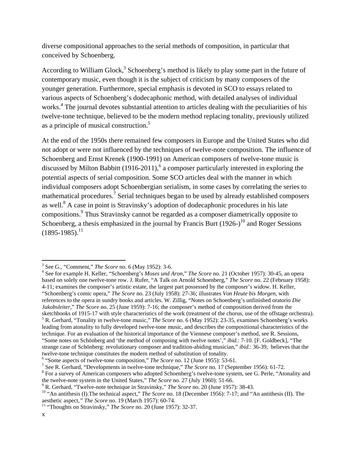diverse compositional approaches to the serial methods of composition, in particular that conceived by Schoenberg.

According to William Glock,<sup>3</sup> Schoenberg's method is likely to play some part in the future of contemporary music, even though it is the subject of criticism by many composers of the younger generation. Furthermore, special emphasis is devoted in SCO to essays related to various aspects of Schoenberg's dodecaphonic method, with detailed analyses of individual works.<sup>4</sup> The journal devotes substantial attention to articles dealing with the peculiarities of his twelve-tone technique, believed to be the modern method replacing tonality, previously utilized as a principle of musical construction.<sup>5</sup>

At the end of the 1950s there remained few composers in Europe and the United States who did not adopt or were not influenced by the techniques of twelve-note composition. The influence of Schoenberg and Ernst Krenek (1900-1991) on American composers of twelve-tone music is discussed by Milton Babbitt  $(1916-2011)$ ,  $6$  a composer particularly interested in exploring the potential aspects of serial composition. Some SCO articles deal with the manner in which individual composers adopt Schoenbergian serialism, in some cases by correlating the series to mathematical procedures.<sup>7</sup> Serial techniques began to be used by already established composers as well. ${}^{8}$  A case in point is Stravinsky's adoption of dodecaphonic procedures in his late compositions.<sup>9</sup> Thus Stravinsky cannot be regarded as a composer diametrically opposite to Schoenberg, a thesis emphasized in the journal by Francis Burt  $(1926)^{10}$  and Roger Sessions  $(1895-1985).$ <sup>11</sup>

 $3$  See G., "Comment," *The Score* no. 6 (May 1952): 3-6.

See for example H. Keller, "Schoenberg's *Moses und Aron*," *The Score* no. 21 (October 1957): 30-45, an opera based on solely one twelve-tone row. J. Rufer, "A Talk on Arnold Schoenberg," *The Score* no. 22 (February 1958): 4-11; examines the composer's artistic estate, the largest part possessed by the composer's widow. H. Keller, "Schoenberg's comic opera," *The Score* no. 23 (July 1958): 27-36; illustrates *Von Heute bis Morgen*, with references to the opera in sundry books and articles. W. Zillig, "Notes on Schoenberg's unfinished oratorio *Die Jakobsleiter*," *The Score* no. 25 (June 1959): 7-16; the composer's method of composition derived from the sketchbooks of 1915-17 with style characteristics of the work (treatment of the chorus, use of the offstage orchestra). R. Gerhard, "Tonality in twelve-tone music," *The Score* no. 6 (May 1952): 23-35, examines Schoenberg's works leading from atonality to fully developed twelve-tone music, and describes the compositional characteristics of the technique. For an evaluation of the historical importance of the Viennese composer's method, see R. Sessions, "Some notes on Schönberg and 'the method of composing with twelve notes'," *ibid*.: 7-10. [F. Goldbeck], "The strange case of Schönberg: revolutionary composer and tradition-abiding musician," *ibid*.: 36-39, believes that the twelve-tone technique constitutes the modern method of substitution of tonality.

<sup>&</sup>lt;sup>6</sup> "Some aspects of twelve-tone composition," *The Score* no. 12 (June 1955): 53-61.

<sup>&</sup>lt;sup>7</sup> See R. Gerhard, "Developments in twelve-tone technique," *The Score* no. 17 (September 1956): 61-72.

<sup>&</sup>lt;sup>8</sup> For a survey of American composers who adopted Schoenberg's twelve-tone system, see G. Perle, "Atonality and the twelve-note system in the United States," *The Score* no. 27 (July 1960): 51-66.<br><sup>9</sup> R. Gerhard, "Twelve-note technique in Stravinsky," *The Score* no. 20 (June 1957): 38-43.

<sup>&</sup>lt;sup>10</sup> "An antithesis (I). The technical aspect," *The Score* no. 18 (December 1956): 7-17; and "An antithesis (II). The aesthetic aspect," *The Score* no. 19 (March 1957): 60-74.

<sup>&</sup>lt;sup>11</sup> "Thoughts on Stravinsky," *The Score* no. 20 (June 1957): 32-37.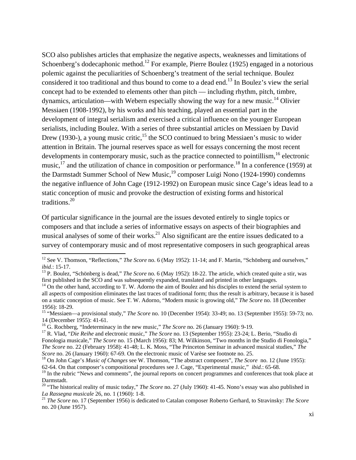SCO also publishes articles that emphasize the negative aspects, weaknesses and limitations of Schoenberg's dodecaphonic method.<sup>12</sup> For example, Pierre Boulez (1925) engaged in a notorious polemic against the peculiarities of Schoenberg's treatment of the serial technique. Boulez considered it too traditional and thus bound to come to a dead end.<sup>13</sup> In Boulez's view the serial concept had to be extended to elements other than pitch — including rhythm, pitch, timbre, dynamics, articulation—with Webern especially showing the way for a new music.<sup>14</sup> Olivier Messiaen (1908-1992), by his works and his teaching, played an essential part in the development of integral serialism and exercised a critical influence on the younger European serialists, including Boulez. With a series of three substantial articles on Messiaen by David Drew (1930-), a young music critic,  $^{15}$  the SCO continued to bring Messiaen's music to wider attention in Britain. The journal reserves space as well for essays concerning the most recent developments in contemporary music, such as the practice connected to pointillism,<sup>16</sup> electronic music, $17$  and the utilization of chance in composition or performance.<sup>18</sup> In a conference (1959) at the Darmstadt Summer School of New Music,<sup>19</sup> composer Luigi Nono (1924-1990) condemns the negative influence of John Cage (1912-1992) on European music since Cage's ideas lead to a static conception of music and provoke the destruction of existing forms and historical traditions.20

Of particular significance in the journal are the issues devoted entirely to single topics or composers and that include a series of informative essays on aspects of their biographies and musical analyses of some of their works.<sup>21</sup> Also significant are the entire issues dedicated to a survey of contemporary music and of most representative composers in such geographical areas

<sup>&</sup>lt;sup>12</sup> See V. Thomson, "Reflections," *The Score* no. 6 (May 1952): 11-14; and F. Martin, "Schönberg and ourselves," *ibid*.: 15-17.

<sup>&</sup>lt;sup>13</sup> P. Boulez, "Schönberg is dead," *The Score* no. 6 (May 1952): 18-22. The article, which created quite a stir, was first published in the SCO and was subsequently expanded, translated and printed in other languages.

<sup>&</sup>lt;sup>14</sup> On the other hand, according to T. W. Adorno the aim of Boulez and his disciples to extend the serial system to all aspects of composition eliminates the last traces of traditional form; thus the result is arbitrary, because it is based on a static conception of music. See T. W. Adorno, "Modern music is growing old," *The Score* no. 18 (December 1956): 18-29.

<sup>15 &</sup>quot;Messiaen—a provisional study," *The Score* no. 10 (December 1954): 33-49; no. 13 (September 1955): 59-73; no. 14 (December 1955): 41-61.<br><sup>16</sup> G. Rochberg, "Indeterminacy in the new music," *The Score* no. 26 (January 1960): 9-19.

<sup>&</sup>lt;sup>17</sup> R. Vlad, "*Die Reihe* and electronic music," *The Score* no. 13 (September 1955): 23-24; L. Berio, "Studio di Fonologia musicale," *The Score* no. 15 (March 1956): 83; M. Wilkinson, "Two months in the Studio di Fonologia," *The Score* no. 22 (February 1958): 41-48; L. K. Moss, "The Princeton Seminar in advanced musical studies," *The Score* no. 26 (January 1960): 67-69. On the electronic music of Varèse see footnote no. 25.<br><sup>18</sup> On John Cage's *Music of Changes* see W. Thomson, "The abstract composers", *The Score* no. 12 (June 1955):

<sup>62-64.</sup> On that composer's compositional procedures see J. Cage, "Experimental music," *ibid.*: 65-68.

<sup>&</sup>lt;sup>19</sup> In the rubric "News and comments", the journal reports on concert programmes and conferences that took place at Darmstadt.

<sup>&</sup>lt;sup>20</sup> "The historical reality of music today," *The Score* no. 27 (July 1960): 41-45. Nono's essay was also published in *La Rassegna musicale* 26, no. 1 (1960): 1-8.

<sup>&</sup>lt;sup>21</sup> *The Score* no. 17 (September 1956) is dedicated to Catalan composer Roberto Gerhard, to Stravinsky: *The Score* no. 20 (June 1957).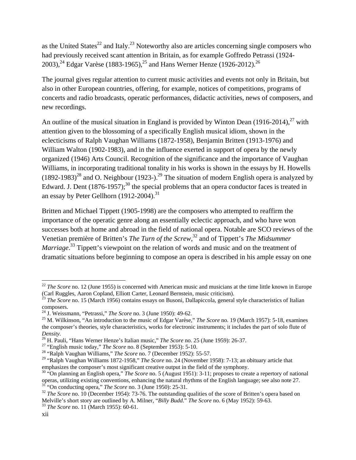as the United States<sup>22</sup> and Italy.<sup>23</sup> Noteworthy also are articles concerning single composers who had previously received scant attention in Britain, as for example Goffredo Petrassi (1924- 2003),<sup>24</sup> Edgar Varèse (1883-1965),<sup>25</sup> and Hans Werner Henze (1926-2012).<sup>26</sup>

The journal gives regular attention to current music activities and events not only in Britain, but also in other European countries, offering, for example, notices of competitions, programs of concerts and radio broadcasts, operatic performances, didactic activities, news of composers, and new recordings.

An outline of the musical situation in England is provided by Winton Dean  $(1916-2014)$ ,<sup>27</sup> with attention given to the blossoming of a specifically English musical idiom, shown in the eclecticisms of Ralph Vaughan Williams (1872-1958), Benjamin Britten (1913-1976) and William Walton (1902-1983), and in the influence exerted in support of opera by the newly organized (1946) Arts Council. Recognition of the significance and the importance of Vaughan Williams, in incorporating traditional tonality in his works is shown in the essays by H. Howells  $(1892-1983)^{28}$  and O. Neighbour (1923-).<sup>29</sup> The situation of modern English opera is analyzed by Edward. J. Dent  $(1876-1957)$ ;<sup>30</sup> the special problems that an opera conductor faces is treated in an essay by Peter Gellhorn  $(1912-2004).$ <sup>31</sup>

Britten and Michael Tippett (1905-1998) are the composers who attempted to reaffirm the importance of the operatic genre along an essentially eclectic approach, and who have won successes both at home and abroad in the field of national opera. Notable are SCO reviews of the Venetian première of Britten's *The Turn of the Screw*, 32 and of Tippett's *The Midsummer*  Marriage.<sup>33</sup> Tippett's viewpoint on the relation of words and music and on the treatment of dramatic situations before beginning to compose an opera is described in his ample essay on one

 <sup>22</sup> *The Score* no. 12 (June 1955) is concerned with American music and musicians at the time little known in Europe (Carl Ruggles, Aaron Copland, Elliott Carter, Leonard Bernstein, music criticism). 23 *The Score* no. 15 (March 1956) contains essays on Busoni, Dallapiccola, general style characteristics of Italian

composers.<br><sup>24</sup> J. Weissmann, "Petrassi," *The Score* no. 3 (June 1950): 49-62.

<sup>&</sup>lt;sup>25</sup> M. Wilkinson, "An introduction to the music of Edgar Varèse," *The Score* no. 19 (March 1957): 5-18, examines the composer's theories, style characteristics, works for electronic instruments; it includes the part of solo flute of *Density.*<br><sup>26</sup> H. Pauli, "Hans Werner Henze's Italian music," *The Score* no. 25 (June 1959): 26-37.

<sup>&</sup>lt;sup>27</sup> "English music today," *The Score* no. 8 (September 1953): 5-10.<br><sup>28</sup> "Ralph Vaughan Williams," *The Score* no. 7 (December 1952): 55-57.

<sup>29 &</sup>quot;Ralph Vaughan Williams 1872-1958," *The Score* no. 24 (November 1958): 7-13; an obituary article that emphasizes the composer's most significant creative output in the field of the symphony.<br><sup>30</sup> "On planning an English opera," *The Score* no. 5 (August 1951): 3-11; proposes to create a repertory of national

operas, utilizing existing conventions, enhancing the natural rhythms of the English language; see also note 27.<br><sup>31</sup> "On conducting opera," *The Score* no. 3 (June 1950): 25-31.<br><sup>32</sup> *The Score* no. 10 (December 1954): 73

Melville's short story are outlined by A. Milner, "*Billy Budd*." *The Score* no. 6 (May 1952): 59-63. 33 *The Score* no. 11 (March 1955): 60-61.